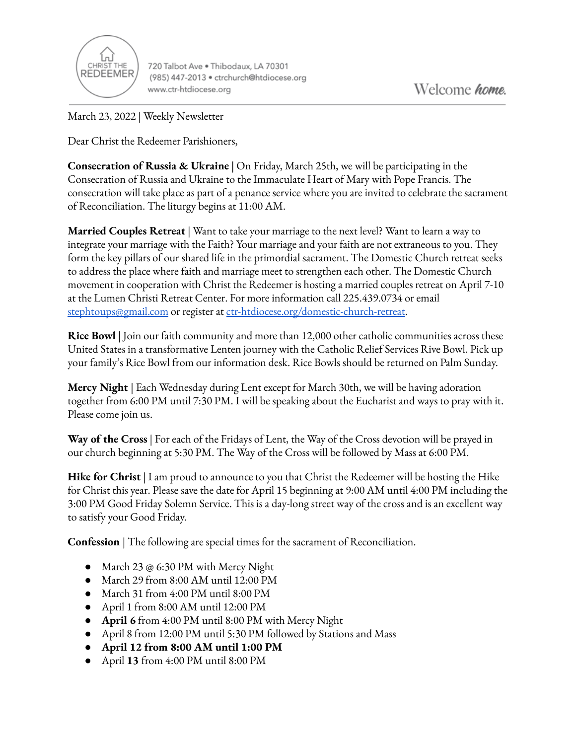

720 Talbot Ave . Thibodaux, LA 70301 (985) 447-2013 · ctrchurch@htdiocese.org www.ctr-htdiocese.org

March 23, 2022 | Weekly Newsletter

Dear Christ the Redeemer Parishioners,

**Consecration of Russia & Ukraine** | On Friday, March 25th, we will be participating in the Consecration of Russia and Ukraine to the Immaculate Heart of Mary with Pope Francis. The consecration will take place as part of a penance service where you are invited to celebrate the sacrament of Reconciliation. The liturgy begins at 11:00 AM.

**Married Couples Retreat** | Want to take your marriage to the next level? Want to learn a way to integrate your marriage with the Faith? Your marriage and your faith are not extraneous to you. They form the key pillars of our shared life in the primordial sacrament. The Domestic Church retreat seeks to address the place where faith and marriage meet to strengthen each other. The Domestic Church movement in cooperation with Christ the Redeemer is hosting a married couples retreat on April 7-10 at the Lumen Christi Retreat Center. For more information call 225.439.0734 or email [stephtoups@gmail.com](mailto:stephtoups@gmail.com) or register at [ctr-htdiocese.org/domestic-church-retreat.](https://www.ctr-htdiocese.org/domestic-church-retreat)

**Rice Bowl** | Join our faith community and more than 12,000 other catholic communities across these United States in a transformative Lenten journey with the Catholic Relief Services Rive Bowl. Pick up your family's Rice Bowl from our information desk. Rice Bowls should be returned on Palm Sunday.

**Mercy Night** | Each Wednesday during Lent except for March 30th, we will be having adoration together from 6:00 PM until 7:30 PM. I will be speaking about the Eucharist and ways to pray with it. Please come join us.

**Way of the Cross** | For each of the Fridays of Lent, the Way of the Cross devotion will be prayed in our church beginning at 5:30 PM. The Way of the Cross will be followed by Mass at 6:00 PM.

**Hike for Christ** | I am proud to announce to you that Christ the Redeemer will be hosting the Hike for Christ this year. Please save the date for April 15 beginning at 9:00 AM until 4:00 PM including the 3:00 PM Good Friday Solemn Service. This is a day-long street way of the cross and is an excellent way to satisfy your Good Friday.

**Confession** | The following are special times for the sacrament of Reconciliation.

- March 23 @ 6:30 PM with Mercy Night
- March 29 from 8:00 AM until 12:00 PM
- March 31 from 4:00 PM until 8:00 PM
- April 1 from 8:00 AM until 12:00 PM
- **April 6** from 4:00 PM until 8:00 PM with Mercy Night
- April 8 from 12:00 PM until 5:30 PM followed by Stations and Mass
- **● April 12 from 8:00 AM until 1:00 PM**
- April **13** from 4:00 PM until 8:00 PM